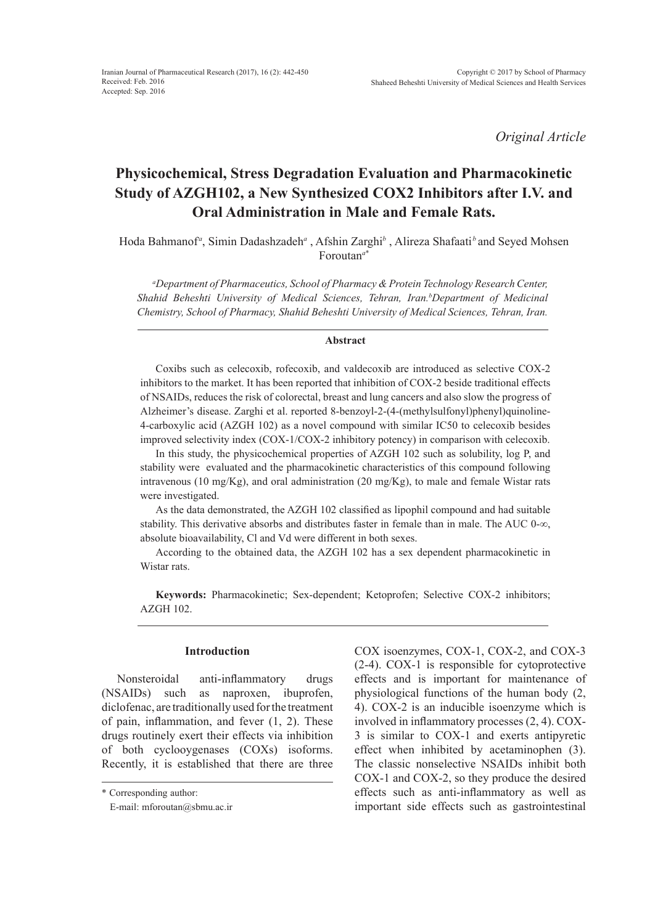*Original Article*

# **Physicochemical, Stress Degradation Evaluation and Pharmacokinetic Study of AZGH102, a New Synthesized COX2 Inhibitors after I.V. and Oral Administration in Male and Female Rats.**

Hoda Bahmanof<sup>a</sup>, Simin Dadashzadeh<sup>a</sup> , Afshin Zarghi<sup>b</sup> , Alireza Shafaati<sup>b</sup>and Seyed Mohsen Foroutan*<sup>a</sup>*\*

*a Department of Pharmaceutics, School of Pharmacy & Protein Technology Research Center,*  Shahid Beheshti University of Medical Sciences, Tehran, Iran.<sup>b</sup>Department of Medicinal *Chemistry, School of Pharmacy, Shahid Beheshti University of Medical Sciences, Tehran, Iran.*

#### **Abstract**

Coxibs such as celecoxib, rofecoxib, and valdecoxib are introduced as selective COX-2 inhibitors to the market. It has been reported that inhibition of COX-2 beside traditional effects of NSAIDs, reduces the risk of colorectal, breast and lung cancers and also slow the progress of Alzheimer's disease. Zarghi et al. reported 8-benzoyl-2-(4-(methylsulfonyl)phenyl)quinoline-4-carboxylic acid (AZGH 102) as a novel compound with similar IC50 to celecoxib besides improved selectivity index (COX-1/COX-2 inhibitory potency) in comparison with celecoxib.

In this study, the physicochemical properties of AZGH 102 such as solubility, log P, and stability were evaluated and the pharmacokinetic characteristics of this compound following intravenous (10 mg/Kg), and oral administration (20 mg/Kg), to male and female Wistar rats were investigated.

As the data demonstrated, the AZGH 102 classified as lipophil compound and had suitable stability. This derivative absorbs and distributes faster in female than in male. The AUC 0- $\infty$ , absolute bioavailability, Cl and Vd were different in both sexes.

According to the obtained data, the AZGH 102 has a sex dependent pharmacokinetic in Wistar rats.

**Keywords:** Pharmacokinetic; Sex-dependent; Ketoprofen; Selective COX-2 inhibitors; AZGH 102.

# **Introduction**

Nonsteroidal anti-inflammatory drugs (NSAIDs) such as naproxen, ibuprofen, diclofenac, are traditionally used for the treatment of pain, inflammation, and fever (1, 2). These drugs routinely exert their effects via inhibition of both cyclooygenases (COXs) isoforms. Recently, it is established that there are three

COX isoenzymes, COX-1, COX-2, and COX-3 (2-4). COX-1 is responsible for cytoprotective effects and is important for maintenance of physiological functions of the human body (2, 4). COX-2 is an inducible isoenzyme which is involved in inflammatory processes (2, 4). COX-3 is similar to COX-1 and exerts antipyretic effect when inhibited by acetaminophen (3). The classic nonselective NSAIDs inhibit both COX-1 and COX-2, so they produce the desired effects such as anti-inflammatory as well as important side effects such as gastrointestinal

<sup>\*</sup> Corresponding author:

E-mail: mforoutan@sbmu.ac.ir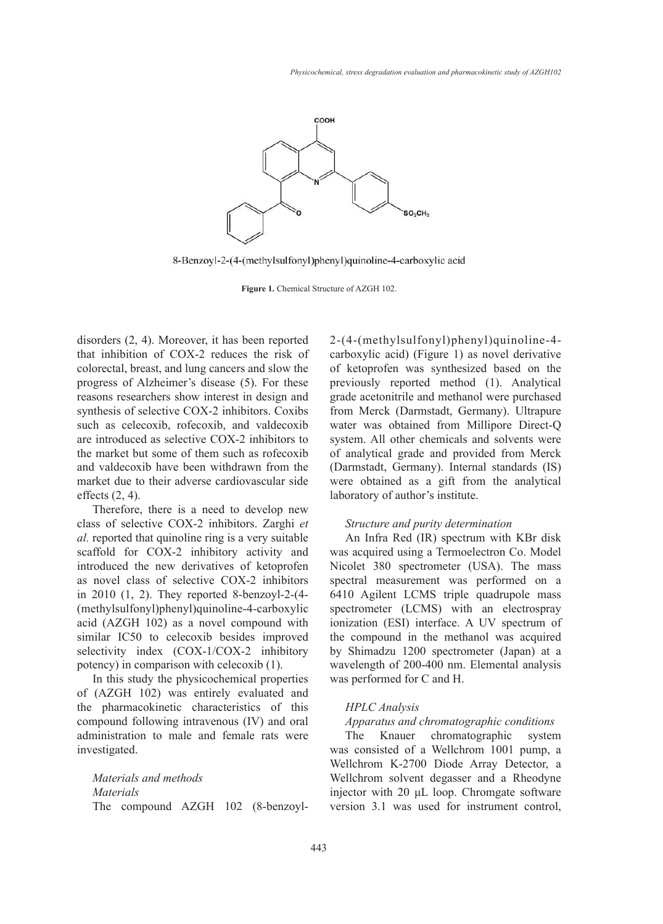

8-Benzoyl-2-(4-(methylsulfonyl)phenyl)quinoline-4-carboxylic acid

**Figure 1.** Chemical Structure of AZGH 102.

disorders  $(2, 4)$ . Moreover, it has been reported that inhibition of COX-2 reduces the risk of colorectal, breast, and lung cancers and slow the progress of Alzheimer's disease (5). For these reasons researchers show interest in design and synthesis of selective COX-2 inhibitors. Coxibs such as celecoxib, rofecoxib, and valdecoxib are introduced as selective COX-2 inhibitors to the market but some of them such as rofecoxib and valdecoxib have been withdrawn from the market due to their adverse cardiovascular side effects (2, 4).

Therefore, there is a need to develop new class of selective COX-2 inhibitors. Zarghi *et al.* reported that quinoline ring is a very suitable scaffold for COX-2 inhibitory activity and introduced the new derivatives of ketoprofen 18 as novel class of selective COX-2 inhibitors in 2010 (1, 2). They reported 8-benzoyl-2-(4- (methylsulfonyl)phenyl)quinoline-4-carboxylic acid (AZGH 102) as a novel compound with similar IC50 to celecoxib besides improved selectivity index (COX-1/COX-2 inhibitory potency) in comparison with celecoxib (1).

In this study the physicochemical properties of (AZGH 102) was entirely evaluated and the pharmacokinetic characteristics of this compound following intravenous (IV) and oral administration to male and female rats were investigated.

*Materials and methods Materials* The compound AZGH 102 (8-benzoyl2-(4-(methylsulfonyl)phenyl)quinoline-4 carboxylic acid) (Figure 1) as novel derivative of ketoprofen was synthesized based on the previously reported method (1). Analytical grade acetonitrile and methanol were purchased from Merck (Darmstadt, Germany). Ultrapure water was obtained from Millipore Direct-Q system. All other chemicals and solvents were of analytical grade and provided from Merck (Darmstadt, Germany). Internal standards (IS) were obtained as a gift from the analytical laboratory of author's institute.

## *Structure and purity determination*

An Infra Red (IR) spectrum with KBr disk was acquired using a Termoelectron Co. Model Nicolet 380 spectrometer (USA). The mass spectral measurement was performed on a 6410 Agilent LCMS triple quadrupole mass spectrometer (LCMS) with an electrospray ionization (ESI) interface. A UV spectrum of the compound in the methanol was acquired by Shimadzu 1200 spectrometer (Japan) at a wavelength of 200-400 nm. Elemental analysis was performed for C and H.

## *HPLC Analysis*

# *Apparatus and chromatographic conditions*

The Knauer chromatographic system was consisted of a Wellchrom 1001 pump, a Wellchrom K-2700 Diode Array Detector, a Wellchrom solvent degasser and a Rheodyne injector with 20 μL loop. Chromgate software version 3.1 was used for instrument control,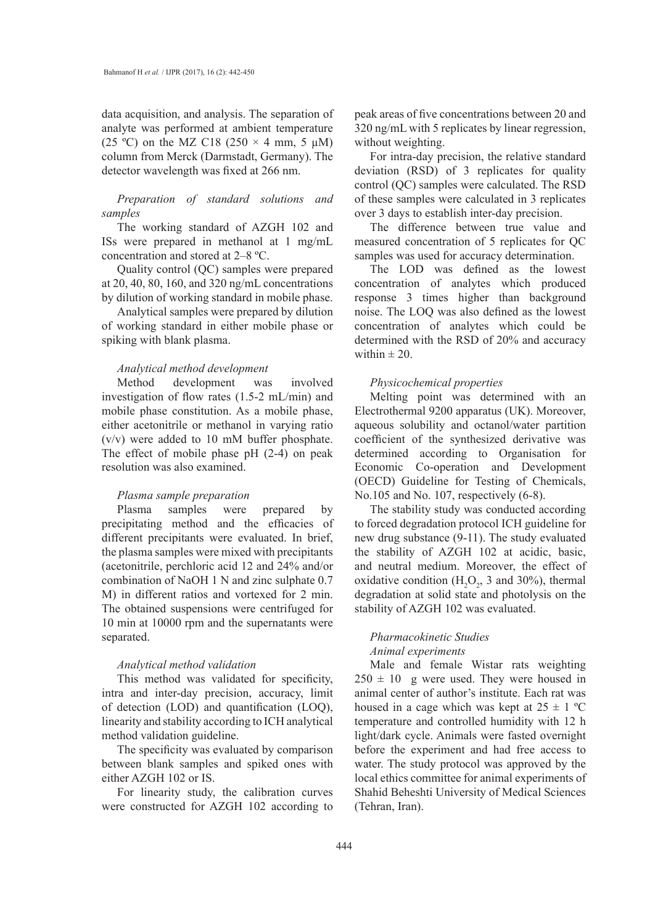data acquisition, and analysis. The separation of analyte was performed at ambient temperature (25 °C) on the MZ C18 (250  $\times$  4 mm, 5  $\mu$ M) column from Merck (Darmstadt, Germany). The detector wavelength was fixed at 266 nm.

*Preparation of standard solutions and samples*

The working standard of AZGH 102 and ISs were prepared in methanol at 1 mg/mL concentration and stored at 2–8 ºC.

Quality control (QC) samples were prepared at 20, 40, 80, 160, and 320 ng/mL concentrations by dilution of working standard in mobile phase.

Analytical samples were prepared by dilution of working standard in either mobile phase or spiking with blank plasma.

## *Analytical method development*

Method development was involved investigation of flow rates (1.5-2 mL/min) and mobile phase constitution. As a mobile phase, either acetonitrile or methanol in varying ratio (v/v) were added to 10 mM buffer phosphate. The effect of mobile phase pH (2-4) on peak resolution was also examined.

#### *Plasma sample preparation*

Plasma samples were prepared by precipitating method and the efficacies of different precipitants were evaluated. In brief, the plasma samples were mixed with precipitants (acetonitrile, perchloric acid 12 and 24% and/or combination of NaOH 1 N and zinc sulphate 0.7 M) in different ratios and vortexed for 2 min. The obtained suspensions were centrifuged for 10 min at 10000 rpm and the supernatants were separated.

#### *Analytical method validation*

This method was validated for specificity, intra and inter-day precision, accuracy, limit of detection (LOD) and quantification (LOQ), linearity and stability according to ICH analytical method validation guideline.

The specificity was evaluated by comparison between blank samples and spiked ones with either AZGH 102 or IS.

For linearity study, the calibration curves were constructed for AZGH 102 according to

peak areas of five concentrations between 20 and 320 ng/mL with 5 replicates by linear regression, without weighting.

For intra-day precision, the relative standard deviation (RSD) of 3 replicates for quality control (QC) samples were calculated. The RSD of these samples were calculated in 3 replicates over 3 days to establish inter-day precision.

The difference between true value and measured concentration of 5 replicates for QC samples was used for accuracy determination.

The LOD was defined as the lowest concentration of analytes which produced response 3 times higher than background noise. The LOQ was also defined as the lowest concentration of analytes which could be determined with the RSD of 20% and accuracy within  $\pm 20$ .

## *Physicochemical properties*

Melting point was determined with an Electrothermal 9200 apparatus (UK). Moreover, aqueous solubility and octanol/water partition coefficient of the synthesized derivative was determined according to Organisation for Economic Co-operation and Development (OECD) Guideline for Testing of Chemicals, No.105 and No. 107, respectively (6-8).

The stability study was conducted according to forced degradation protocol ICH guideline for new drug substance (9-11). The study evaluated the stability of AZGH 102 at acidic, basic, and neutral medium. Moreover, the effect of oxidative condition ( $H_2O_2$ , 3 and 30%), thermal degradation at solid state and photolysis on the stability of AZGH 102 was evaluated.

# *Pharmacokinetic Studies Animal experiments*

Male and female Wistar rats weighting  $250 \pm 10$  g were used. They were housed in animal center of author's institute. Each rat was housed in a cage which was kept at  $25 \pm 1$  °C temperature and controlled humidity with 12 h light/dark cycle. Animals were fasted overnight before the experiment and had free access to water. The study protocol was approved by the local ethics committee for animal experiments of Shahid Beheshti University of Medical Sciences (Tehran, Iran).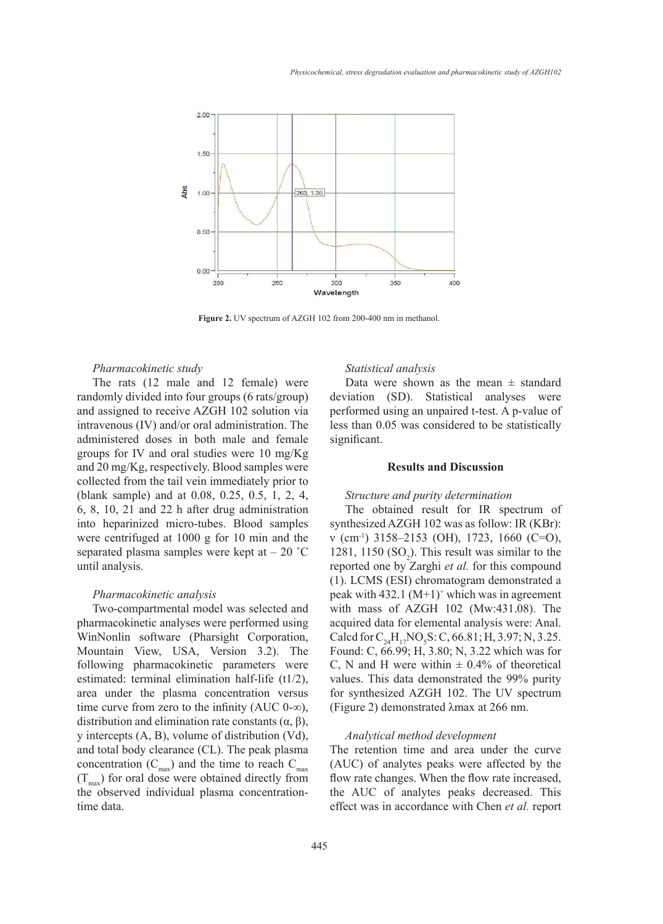

Figure 2. UV spectrum of AZGH 102 from 200-400 nm in methanol.

#### *Pharmacokinetic study*

The rats (12 male and 12 female) were randomly divided into four groups (6 rats/group) and assigned to receive AZGH 102 solution via intravenous (IV) and/or oral administration. The administered doses in both male and female groups for IV and oral studies were 10 mg/Kg and 20 mg/Kg, respectively. Blood samples were collected from the tail vein immediately prior to (blank sample) and at 0.08, 0.25, 0.5, 1, 2, 4, 6, 8, 10, 21 and 22 h after drug administration into heparinized micro-tubes. Blood samples were centrifuged at 1000 g for 10 min and the separated plasma samples were kept at  $-20$  °C until analysis.

#### *Pharmacokinetic analysis*

Two-compartmental model was selected and pharmacokinetic analyses were performed using WinNonlin software (Pharsight Corporation, Mountain View, USA, Version 3.2). The following pharmacokinetic parameters were estimated: terminal elimination half-life (t1/2), area under the plasma concentration versus time curve from zero to the infinity (AUC 0- $\infty$ ), distribution and elimination rate constants (α, β), y intercepts (A, B), volume of distribution (Vd), and total body clearance (CL). The peak plasma concentration  $(C_{\text{max}})$  and the time to reach  $C_{\text{max}}$  $(T<sub>max</sub>)$  for oral dose were obtained directly from the observed individual plasma concentrationtime data.

# *Statistical analysis*

Data were shown as the mean  $\pm$  standard deviation (SD). Statistical analyses were performed using an unpaired t-test. A p-value of less than 0.05 was considered to be statistically significant.

## **Results and Discussion**

#### *Structure and purity determination*

The obtained result for IR spectrum of synthesized AZGH 102 was as follow: IR (KBr): ν (cm-1) 3158–2153 (OH), 1723, 1660 (C=O), 1281, 1150  $(SO_2)$ . This result was similar to the reported one by Zarghi *et al.* for this compound (1). LCMS (ESI) chromatogram demonstrated a peak with  $432.1 \, (M+1)^+$  which was in agreement with mass of AZGH 102 (Mw:431.08). The acquired data for elemental analysis were: Anal. Calcd for  $C_{24}H_{17}NO_5S$ : C, 66.81; H, 3.97; N, 3.25. Found: C, 66.99; H, 3.80; N, 3.22 which was for C, N and H were within  $\pm$  0.4% of theoretical values. This data demonstrated the 99% purity for synthesized AZGH 102. The UV spectrum (Figure 2) demonstrated λmax at 266 nm.

## *Analytical method development*

The retention time and area under the curve (AUC) of analytes peaks were affected by the flow rate changes. When the flow rate increased, the AUC of analytes peaks decreased. This effect was in accordance with Chen *et al.* report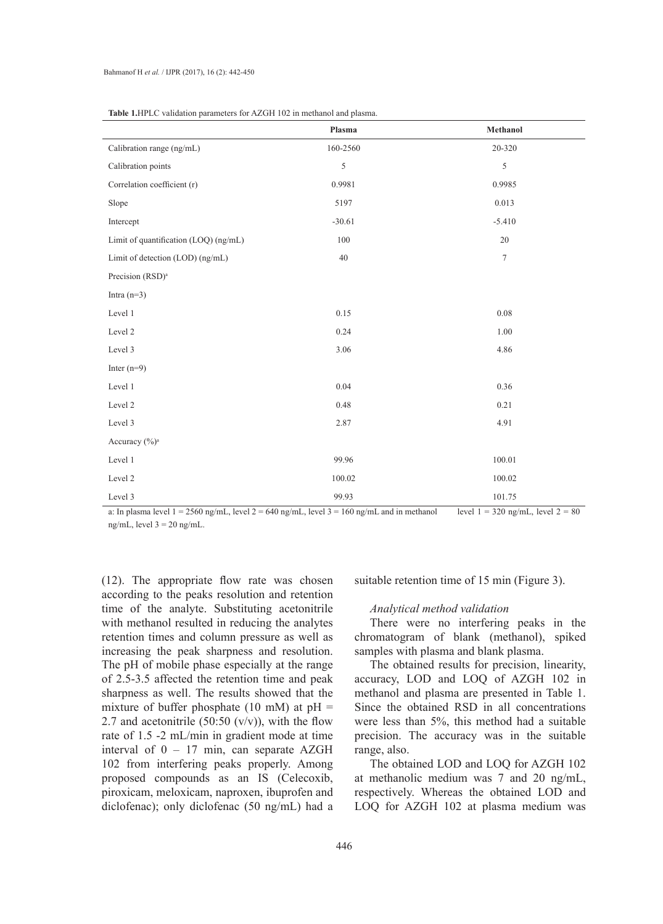|                                       | Plasma   | Methanol         |  |
|---------------------------------------|----------|------------------|--|
| Calibration range (ng/mL)             | 160-2560 | 20-320           |  |
| Calibration points                    | 5        | 5                |  |
| Correlation coefficient (r)           | 0.9981   | 0.9985           |  |
| Slope                                 | 5197     | 0.013            |  |
| Intercept                             | $-30.61$ | $-5.410$         |  |
| Limit of quantification (LOQ) (ng/mL) | 100      | $20\,$           |  |
| Limit of detection (LOD) (ng/mL)      | $40\,$   | $\boldsymbol{7}$ |  |
| Precision (RSD) <sup>a</sup>          |          |                  |  |
| Intra $(n=3)$                         |          |                  |  |
| Level 1                               | 0.15     | $0.08\,$         |  |
| Level 2                               | 0.24     | 1.00             |  |
| Level 3                               | 3.06     | 4.86             |  |
| Inter $(n=9)$                         |          |                  |  |
| Level 1                               | 0.04     | 0.36             |  |
| Level 2                               | 0.48     | 0.21             |  |
| Level 3                               | 2.87     | 4.91             |  |
| Accuracy (%) <sup>a</sup>             |          |                  |  |
| Level 1                               | 99.96    | 100.01           |  |
| Level 2                               | 100.02   | 100.02           |  |
| Level 3                               | 99.93    | 101.75           |  |

**Table 1.**HPLC validation parameters for AZGH 102 in methanol and plasma.

a: In plasma level  $1 = 2560$  ng/mL, level  $2 = 640$  ng/mL, level  $3 = 160$  ng/mL and in methanol level  $1 = 320$  ng/mL, level  $2 = 80$ ng/mL, level  $3 = 20$  ng/mL.

(12). The appropriate flow rate was chosen according to the peaks resolution and retention time of the analyte. Substituting acetonitrile with methanol resulted in reducing the analytes retention times and column pressure as well as increasing the peak sharpness and resolution. The pH of mobile phase especially at the range of 2.5-3.5 affected the retention time and peak sharpness as well. The results showed that the mixture of buffer phosphate (10 mM) at  $pH =$ 2.7 and acetonitrile  $(50:50 \, (v/v))$ , with the flow rate of 1.5 -2 mL/min in gradient mode at time interval of 0 – 17 min, can separate AZGH 102 from interfering peaks properly. Among proposed compounds as an IS (Celecoxib, piroxicam, meloxicam, naproxen, ibuprofen and diclofenac); only diclofenac (50 ng/mL) had a

suitable retention time of 15 min (Figure 3).

# *Analytical method validation*

There were no interfering peaks in the chromatogram of blank (methanol), spiked samples with plasma and blank plasma.

The obtained results for precision, linearity, accuracy, LOD and LOQ of AZGH 102 in methanol and plasma are presented in Table 1. Since the obtained RSD in all concentrations were less than 5%, this method had a suitable precision. The accuracy was in the suitable range, also.

The obtained LOD and LOQ for AZGH 102 at methanolic medium was 7 and 20 ng/mL, respectively. Whereas the obtained LOD and LOQ for AZGH 102 at plasma medium was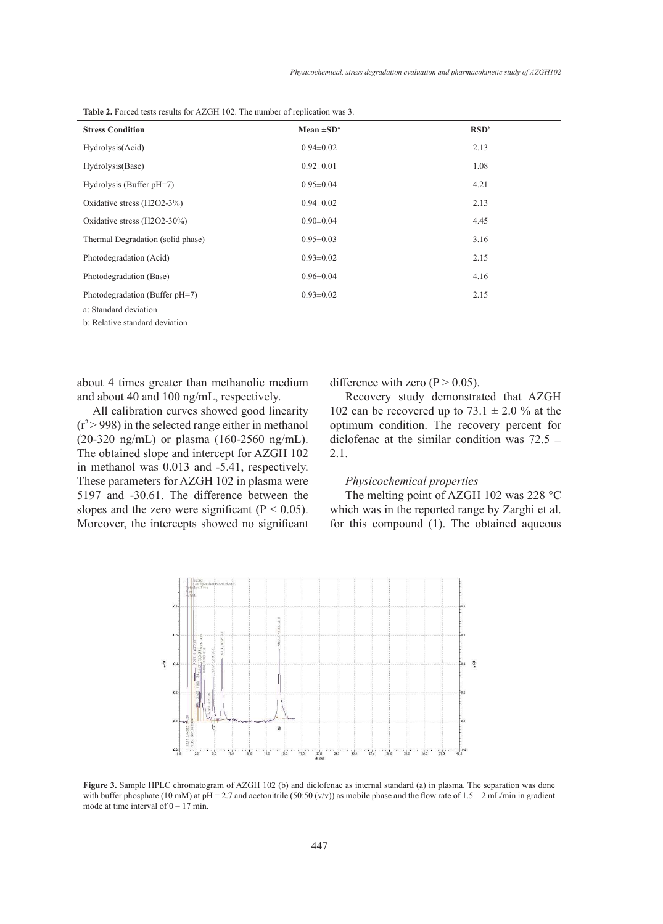| <b>Stress Condition</b>           | Mean $\pm SD^a$ | RSD <sup>b</sup> |  |  |  |  |
|-----------------------------------|-----------------|------------------|--|--|--|--|
| Hydrolysis(Acid)                  | $0.94 \pm 0.02$ | 2.13             |  |  |  |  |
| Hydrolysis(Base)                  | $0.92 \pm 0.01$ | 1.08             |  |  |  |  |
| Hydrolysis (Buffer pH=7)          | $0.95 \pm 0.04$ | 4.21             |  |  |  |  |
| Oxidative stress $(H2O2-3%)$      | $0.94 \pm 0.02$ | 2.13             |  |  |  |  |
| Oxidative stress (H2O2-30%)       | $0.90 \pm 0.04$ | 4.45             |  |  |  |  |
| Thermal Degradation (solid phase) | $0.95 \pm 0.03$ | 3.16             |  |  |  |  |
| Photodegradation (Acid)           | $0.93 \pm 0.02$ | 2.15             |  |  |  |  |
| Photodegradation (Base)           | $0.96 \pm 0.04$ | 4.16             |  |  |  |  |
| Photodegradation (Buffer pH=7)    | $0.93 \pm 0.02$ | 2.15             |  |  |  |  |

Table 2. Forced tests results for AZGH 102. The number of replication was 3.

a: Standard deviation

b: Relative standard deviation

about 4 times greater than methanolic medium and about 40 and 100 ng/mL, respectively.

All calibration curves showed good linearity  $(r^2 > 998)$  in the selected range either in methanol (20-320 ng/mL) or plasma (160-2560 ng/mL). The obtained slope and intercept for AZGH 102 in methanol was 0.013 and -5.41, respectively. These parameters for AZGH 102 in plasma were 5197 and -30.61. The difference between the slopes and the zero were significant ( $P < 0.05$ ). Moreover, the intercepts showed no significant difference with zero  $(P > 0.05)$ .

Recovery study demonstrated that AZGH 102 can be recovered up to  $73.1 \pm 2.0$  % at the optimum condition. The recovery percent for diclofenac at the similar condition was 72.5  $\pm$ 2.1.

## *Physicochemical properties*

The melting point of AZGH 102 was 228 °C which was in the reported range by Zarghi et al. for this compound (1). The obtained aqueous



**Figure 3.** Sample HPLC chromatogram of AZGH 102 (b) and diclofenac as internal standard (a) in plasma. The separation was done with buffer phosphate (10 mM) at pH = 2.7 and acetonitrile (50:50 (v/v)) as mobile phase and the flow rate of 1.5 – 2 mL/min in gradient with buffer phosphate (10 mM) at pH = 2.7 and acetonitrile (50:50 (v/v)) as mobile p mode at time interval of  $0 - 17$  min. stard at plasma. The separation was done with phosphate and the how rate  $17 \text{ min}$  $\frac{1}{2}$  and  $\frac{2}{3}$ .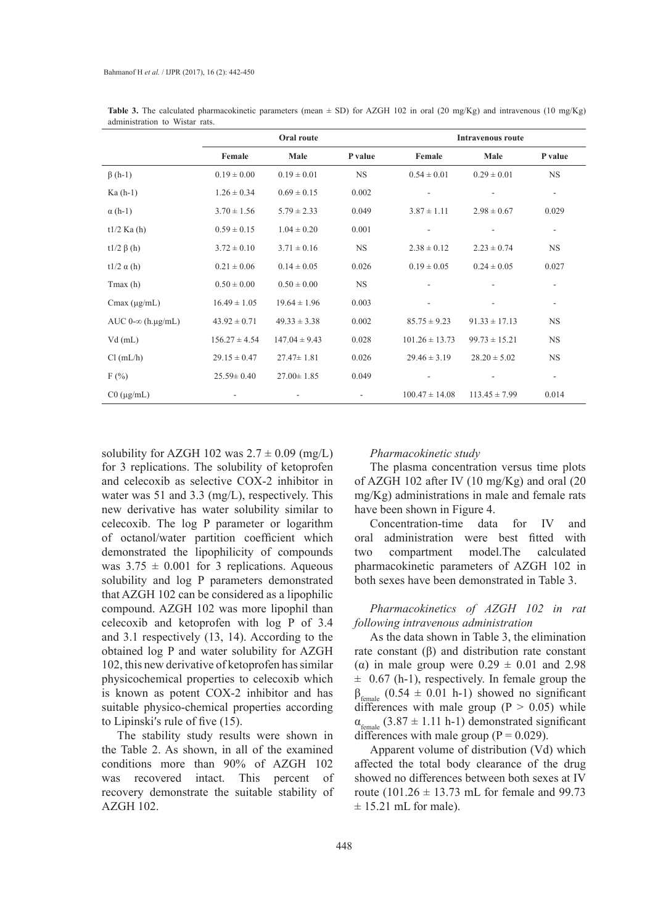|                          | Oral route        |                   |           | <b>Intravenous route</b> |                   |           |
|--------------------------|-------------------|-------------------|-----------|--------------------------|-------------------|-----------|
|                          | Female            | Male              | P value   | Female                   | Male              | P value   |
| $\beta$ (h-1)            | $0.19 \pm 0.00$   | $0.19 \pm 0.01$   | <b>NS</b> | $0.54 \pm 0.01$          | $0.29 \pm 0.01$   | <b>NS</b> |
| $Ka(h-1)$                | $1.26 \pm 0.34$   | $0.69 \pm 0.15$   | 0.002     |                          |                   | $\sim$    |
| $\alpha$ (h-1)           | $3.70 \pm 1.56$   | $5.79 \pm 2.33$   | 0.049     | $3.87 \pm 1.11$          | $2.98 \pm 0.67$   | 0.029     |
| $t1/2$ Ka (h)            | $0.59 \pm 0.15$   | $1.04 \pm 0.20$   | 0.001     |                          |                   | ٠         |
| t1/2 $\beta$ (h)         | $3.72 \pm 0.10$   | $3.71 \pm 0.16$   | <b>NS</b> | $2.38 \pm 0.12$          | $2.23 \pm 0.74$   | <b>NS</b> |
| t $1/2 \alpha(h)$        | $0.21 \pm 0.06$   | $0.14 \pm 0.05$   | 0.026     | $0.19 \pm 0.05$          | $0.24 \pm 0.05$   | 0.027     |
| $T$ max $(h)$            | $0.50 \pm 0.00$   | $0.50 \pm 0.00$   | <b>NS</b> |                          |                   |           |
| Cmax $(\mu g/mL)$        | $16.49 \pm 1.05$  | $19.64 \pm 1.96$  | 0.003     |                          |                   | $\sim$    |
| AUC $0-\infty$ (h.µg/mL) | $43.92 \pm 0.71$  | $49.33 \pm 3.38$  | 0.002     | $85.75 \pm 9.23$         | $91.33 \pm 17.13$ | <b>NS</b> |
| $Vd$ (mL)                | $156.27 \pm 4.54$ | $147.04 \pm 9.43$ | 0.028     | $101.26 \pm 13.73$       | $99.73 \pm 15.21$ | <b>NS</b> |
| Cl (mL/h)                | $29.15 \pm 0.47$  | $27.47 \pm 1.81$  | 0.026     | $29.46 \pm 3.19$         | $28.20 \pm 5.02$  | <b>NS</b> |
| $F(\%)$                  | $25.59 \pm 0.40$  | $27.00 \pm 1.85$  | 0.049     |                          |                   |           |
| $C0$ ( $\mu$ g/mL)       |                   |                   |           | $100.47 \pm 14.08$       | $113.45 \pm 7.99$ | 0.014     |

**Table 3.** The calculated pharmacokinetic parameters (mean  $\pm$  SD) for AZGH 102 in oral (20 mg/Kg) and intravenous (10 mg/Kg) administration to Wistar rats.

solubility for AZGH 102 was  $2.7 \pm 0.09$  (mg/L) for 3 replications. The solubility of ketoprofen and celecoxib as selective COX-2 inhibitor in water was 51 and 3.3 (mg/L), respectively. This new derivative has water solubility similar to celecoxib. The log P parameter or logarithm of octanol/water partition coefficient which demonstrated the lipophilicity of compounds was  $3.75 \pm 0.001$  for 3 replications. Aqueous solubility and log P parameters demonstrated that AZGH 102 can be considered as a lipophilic compound. AZGH 102 was more lipophil than celecoxib and ketoprofen with log P of 3.4 and 3.1 respectively (13, 14). According to the obtained log P and water solubility for AZGH 102, this new derivative of ketoprofen has similar physicochemical properties to celecoxib which is known as potent COX-2 inhibitor and has suitable physico-chemical properties according to Lipinskiʹs rule of five (15).

The stability study results were shown in the Table 2. As shown, in all of the examined conditions more than 90% of AZGH 102 was recovered intact. This percent of recovery demonstrate the suitable stability of AZGH 102.

#### *Pharmacokinetic study*

The plasma concentration versus time plots of AZGH 102 after IV (10 mg/Kg) and oral (20 mg/Kg) administrations in male and female rats have been shown in Figure 4.

Concentration-time data for IV and oral administration were best fitted with two compartment model.The calculated pharmacokinetic parameters of AZGH 102 in both sexes have been demonstrated in Table 3.

*Pharmacokinetics of AZGH 102 in rat following intravenous administration*

As the data shown in Table 3, the elimination rate constant  $(β)$  and distribution rate constant ( $\alpha$ ) in male group were  $0.29 \pm 0.01$  and 2.98  $\pm$  0.67 (h-1), respectively. In female group the  $\beta_{\text{female}}$  (0.54  $\pm$  0.01 h-1) showed no significant differences with male group  $(P > 0.05)$  while  $\alpha_{\text{female}}$  (3.87  $\pm$  1.11 h-1) demonstrated significant differences with male group ( $P = 0.029$ ).

Apparent volume of distribution (Vd) which affected the total body clearance of the drug showed no differences between both sexes at IV route (101.26  $\pm$  13.73 mL for female and 99.73  $\pm$  15.21 mL for male).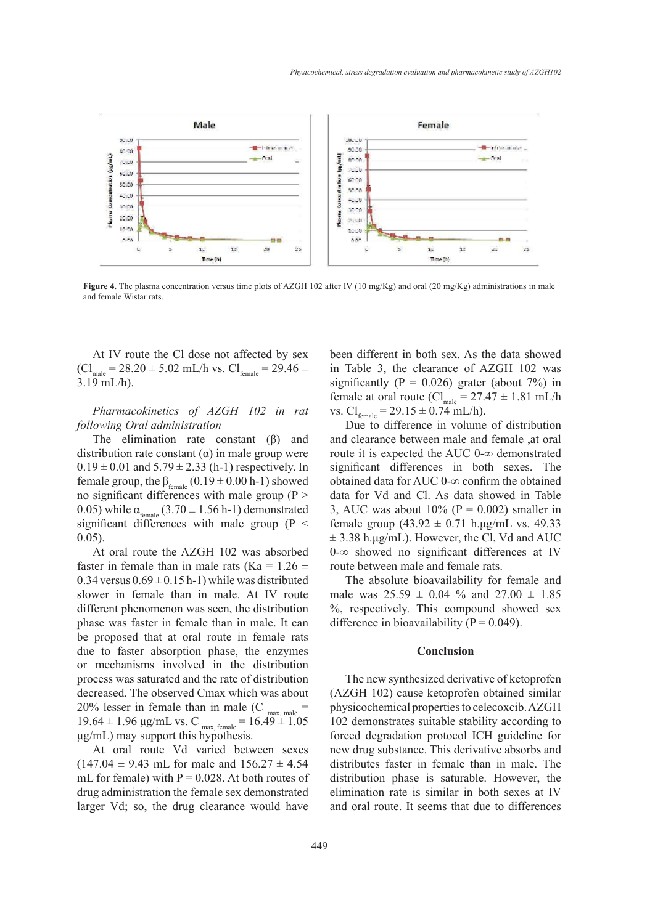

**Figure 4.** The plasma concentration versus time plots of AZGH 102 after IV (10 mg/Kg) and oral (20 mg/Kg) administrations in male and female Wistar rats.

At IV route the Cl dose not affected by sex  $\text{(C1)}_{\text{male}} = 28.20 \pm 5.02 \text{ mL/h vs. Cl}_{\text{female}} = 29.46 \pm 1.02 \text{ m}$ 3.19 mL/h).

*Pharmacokinetics of AZGH 102 in rat following Oral administration*

The elimination rate constant  $(\beta)$  and distribution rate constant (α) in male group were  $0.19 \pm 0.01$  and  $5.79 \pm 2.33$  (h-1) respectively. In female group, the  $\beta_{\text{female}}$  (0.19  $\pm$  0.00 h-1) showed no significant differences with male group ( $P >$ 0.05) while  $\alpha_{\text{female}}$  (3.70  $\pm$  1.56 h-1) demonstrated significant differences with male group ( $P <$ 0.05).

At oral route the AZGH 102 was absorbed faster in female than in male rats (Ka =  $1.26 \pm$ 0.34 versus  $0.69 \pm 0.15$  h-1) while was distributed slower in female than in male. At IV route different phenomenon was seen, the distribution phase was faster in female than in male. It can be proposed that at oral route in female rats due to faster absorption phase, the enzymes or mechanisms involved in the distribution process was saturated and the rate of distribution decreased. The observed Cmax which was about 20% lesser in female than in male (C  $_{\text{max, male}}$  =  $19.64 \pm 1.96$   $\mu$ g/mL vs. C  $_{\text{max, female}} = 16.49 \pm 1.05$ μg/mL) may support this hypothesis.

At oral route Vd varied between sexes  $(147.04 \pm 9.43 \text{ mL}$  for male and  $156.27 \pm 4.54$ mL for female) with  $P = 0.028$ . At both routes of drug administration the female sex demonstrated larger Vd; so, the drug clearance would have

been different in both sex. As the data showed in Table 3, the clearance of AZGH 102 was significantly ( $P = 0.026$ ) grater (about 7%) in female at oral route (Cl<sub>male</sub> =  $27.47 \pm 1.81$  mL/h vs.  $Cl_{\text{female}} = 29.15 \pm 0.74 \text{ mL/h}.$ 

Due to difference in volume of distribution and clearance between male and female ,at oral route it is expected the AUC 0-∞ demonstrated significant differences in both sexes. The obtained data for AUC 0-∞ confirm the obtained data for Vd and Cl. As data showed in Table 3, AUC was about  $10\%$  (P = 0.002) smaller in female group  $(43.92 \pm 0.71 \text{ h} \cdot \text{µg/mL}$  vs. 49.33  $\pm$  3.38 h.µg/mL). However, the Cl, Vd and AUC 0-∞ showed no significant differences at IV route between male and female rats.

The absolute bioavailability for female and male was  $25.59 \pm 0.04$  % and  $27.00 \pm 1.85$ %, respectively. This compound showed sex difference in bioavailability ( $P = 0.049$ ).

#### **Conclusion**

The new synthesized derivative of ketoprofen (AZGH 102) cause ketoprofen obtained similar physicochemical properties to celecoxcib. AZGH 102 demonstrates suitable stability according to forced degradation protocol ICH guideline for new drug substance. This derivative absorbs and distributes faster in female than in male. The distribution phase is saturable. However, the elimination rate is similar in both sexes at IV and oral route. It seems that due to differences